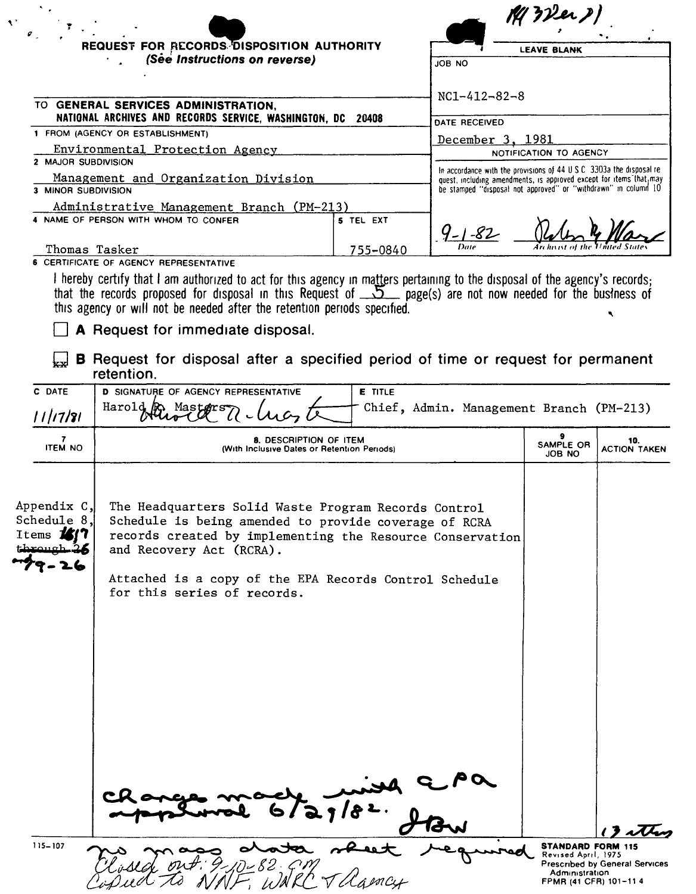|                                                 |                                                                                                                                                                                                                                                                                                 |                | $M$ 3 Der $P$                                                                                                                               |                        |                            |
|-------------------------------------------------|-------------------------------------------------------------------------------------------------------------------------------------------------------------------------------------------------------------------------------------------------------------------------------------------------|----------------|---------------------------------------------------------------------------------------------------------------------------------------------|------------------------|----------------------------|
|                                                 | REQUEST FOR RECORDS DISPOSITION AUTHORITY<br>(See Instructions on reverse)                                                                                                                                                                                                                      |                |                                                                                                                                             |                        |                            |
|                                                 |                                                                                                                                                                                                                                                                                                 |                | <b>LEAVE BLANK</b><br>JOB NO                                                                                                                |                        |                            |
|                                                 |                                                                                                                                                                                                                                                                                                 |                |                                                                                                                                             |                        |                            |
|                                                 | TO GENERAL SERVICES ADMINISTRATION,                                                                                                                                                                                                                                                             |                | $NC1 - 412 - 82 - 8$                                                                                                                        |                        |                            |
|                                                 | NATIONAL ARCHIVES AND RECORDS SERVICE, WASHINGTON, DC 20408                                                                                                                                                                                                                                     |                | DATE RECEIVED                                                                                                                               |                        |                            |
|                                                 | 1 FROM (AGENCY OR ESTABLISHMENT)<br>Environmental Protection Agency                                                                                                                                                                                                                             |                | December 3, 1981                                                                                                                            |                        |                            |
| 2 MAJOR SUBDIVISION                             |                                                                                                                                                                                                                                                                                                 |                |                                                                                                                                             | NOTIFICATION TO AGENCY |                            |
|                                                 | Management and Organization Division                                                                                                                                                                                                                                                            |                | In accordance with the provisions of 44 U.S.C. 3303a the disposal re-<br>quest, including amendments, is approved except for items that may |                        |                            |
| 3 MINOR SUBDIVISION                             |                                                                                                                                                                                                                                                                                                 |                | be stamped "disposal not approved" or "withdrawn" in column 10                                                                              |                        |                            |
|                                                 | Administrative Management Branch (PM-213)<br>4 NAME OF PERSON WITH WHOM TO CONFER                                                                                                                                                                                                               | 5 TEL EXT      |                                                                                                                                             |                        |                            |
|                                                 |                                                                                                                                                                                                                                                                                                 |                | $9 - 1 - 82$                                                                                                                                |                        |                            |
| Thomas Tasker                                   |                                                                                                                                                                                                                                                                                                 | 755-0840       | Date                                                                                                                                        |                        |                            |
|                                                 | <b>6 CERTIFICATE OF AGENCY REPRESENTATIVE</b><br>I hereby certify that I am authorized to act for this agency in matters pertaining to the disposal of the agency's records;                                                                                                                    |                |                                                                                                                                             |                        |                            |
|                                                 | A Request for immediate disposal.<br><b>B</b> Request for disposal after a specified period of time or request for permanent<br>retention.                                                                                                                                                      |                |                                                                                                                                             |                        |                            |
| C DATE                                          | <b>D SIGNATURE OF AGENCY REPRESENTATIVE</b>                                                                                                                                                                                                                                                     | <b>E</b> TITLE |                                                                                                                                             |                        |                            |
| 11/17/81                                        | Harold Records of Masters 7 - Lucy                                                                                                                                                                                                                                                              |                | Chief, Admin. Management Branch (PM-213)                                                                                                    |                        |                            |
| <b>ITEM NO</b>                                  | 8. DESCRIPTION OF ITEM<br>(With Inclusive Dates or Retention Periods)                                                                                                                                                                                                                           |                |                                                                                                                                             | SAMPLE OR<br>JOB NO    | 10.<br><b>ACTION TAKEN</b> |
| Appendix C,<br>Schedule 8.<br>Ttems <b>1417</b> | The Headquarters Solid Waste Program Records Control<br>Schedule is being amended to provide coverage of RCRA<br>records created by implementing the Resource Conservation<br>and Recovery Act (RCRA).<br>Attached is a copy of the EPA Records Control Schedule<br>for this series of records. |                |                                                                                                                                             |                        |                            |
|                                                 |                                                                                                                                                                                                                                                                                                 |                |                                                                                                                                             |                        |                            |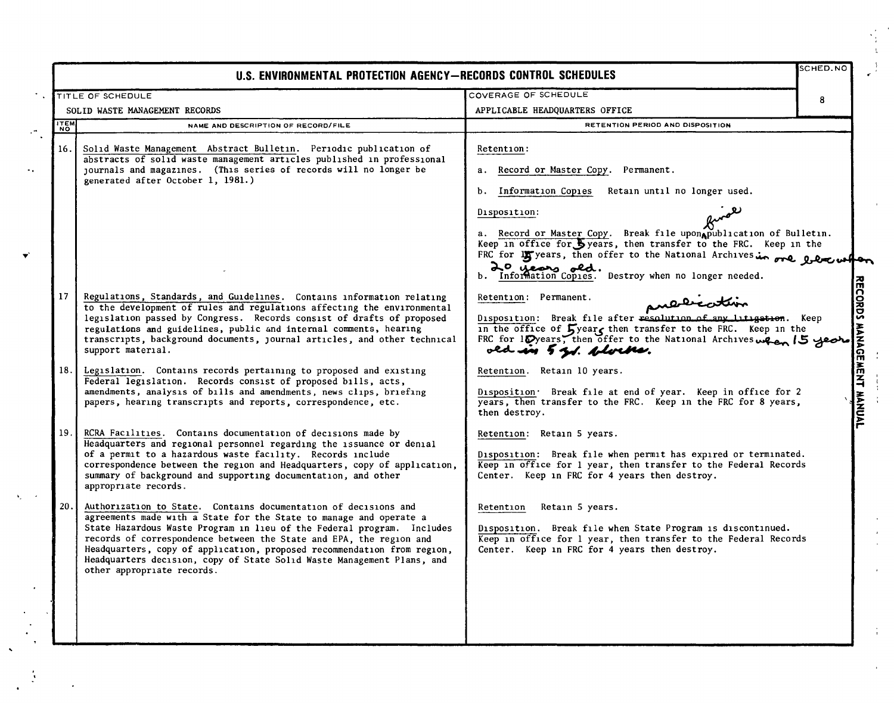|                                                     | U.S. ENVIRONMENTAL PROTECTION AGENCY-RECORDS CONTROL SCHEDULES                                                                                                                                                                                                                                                                                                                                                                                                            |                                                                                                                                                                                                                                                                                                                                                                                                                                                                            | SCHED.NO |  |
|-----------------------------------------------------|---------------------------------------------------------------------------------------------------------------------------------------------------------------------------------------------------------------------------------------------------------------------------------------------------------------------------------------------------------------------------------------------------------------------------------------------------------------------------|----------------------------------------------------------------------------------------------------------------------------------------------------------------------------------------------------------------------------------------------------------------------------------------------------------------------------------------------------------------------------------------------------------------------------------------------------------------------------|----------|--|
| TITLE OF SCHEDULE<br>SOLID WASTE MANAGEMENT RECORDS |                                                                                                                                                                                                                                                                                                                                                                                                                                                                           | COVERAGE OF SCHEDULE                                                                                                                                                                                                                                                                                                                                                                                                                                                       |          |  |
| <b>ITEM</b>                                         | NAME AND DESCRIPTION OF RECORD/FILE                                                                                                                                                                                                                                                                                                                                                                                                                                       | APPLICABLE HEADQUARTERS OFFICE<br>RETENTION PERIOD AND DISPOSITION                                                                                                                                                                                                                                                                                                                                                                                                         |          |  |
| <b>NO</b><br>16.                                    | Solid Waste Management Abstract Bulletin. Periodic publication of<br>abstracts of solid waste management articles published in professional<br>journals and magazines. (This series of records will no longer be<br>generated after October 1, 1981.)                                                                                                                                                                                                                     | <b>Retention:</b><br>Record or Master Copy.<br>Permanent.<br>а.<br>Retain until no longer used.<br>Ъ.<br>Information Copies<br>Disposition:<br>a. Record or Master Copy. Break file upon publication of Bulletin.                                                                                                                                                                                                                                                          |          |  |
| 17                                                  | Regulations, Standards, and Guidelines. Contains information relating<br>to the development of rules and regulations affecting the environmental<br>legislation passed by Congress. Records consist of drafts of proposed<br>regulations and guidelines, public and internal comments, hearing<br>transcripts, background documents, journal articles, and other technical<br>support material.                                                                           | Keep in office for Syears, then transfer to the FRC. Keep in the<br>FRC for <b>15</b> years, then offer to the National Archives in one beau when<br>b. Information Copies. Destroy when no longer needed.<br>Retention: Permanent.<br>Disposition: Break file after resolution of any litigation. Keep<br>in the office of $5$ year, then transfer to the FRC. Keep in the<br>FRC for 10 years, then offer to the National Archives when 15 years<br>old in 5 gd. blocks. |          |  |
| 18.                                                 | Legislation. Contains records pertaining to proposed and existing<br>Federal legislation. Records consist of proposed bills, acts,<br>amendments, analysis of bills and amendments, news clips, briefing<br>papers, hearing transcripts and reports, correspondence, etc.                                                                                                                                                                                                 | Retention. Retain 10 years.<br>Disposition. Break file at end of year. Keep in office for 2<br>years, then transfer to the FRC. Keep in the FRC for 8 years,<br>then destroy.                                                                                                                                                                                                                                                                                              |          |  |
| 19.                                                 | RCRA Facilities. Contains documentation of decisions made by<br>Headquarters and regional personnel regarding the issuance or denial<br>of a permit to a hazardous waste facility. Records include<br>correspondence between the region and Headquarters, copy of application,<br>summary of background and supporting documentation, and other<br>appropriate records.                                                                                                   | Retention: Retain 5 years.<br>Disposition: Break file when permit has expired or terminated.<br>Keep in office for 1 year, then transfer to the Federal Records<br>Center. Keep in FRC for 4 years then destroy.                                                                                                                                                                                                                                                           |          |  |
| 20.                                                 | Authorization to State. Contains documentation of decisions and<br>agreements made with a State for the State to manage and operate a<br>State Hazardous Waste Program in lieu of the Federal program. Includes<br>records of correspondence between the State and EPA, the region and<br>Headquarters, copy of application, proposed recommendation from region,<br>Headquarters decision, copy of State Solid Waste Management Plans, and<br>other appropriate records. | Retain 5 years.<br>Retention<br>Disposition. Break file when State Program is discontinued.<br>Keep in office for 1 year, then transfer to the Federal Records<br>Center. Keep in FRC for 4 years then destroy.                                                                                                                                                                                                                                                            |          |  |
|                                                     |                                                                                                                                                                                                                                                                                                                                                                                                                                                                           |                                                                                                                                                                                                                                                                                                                                                                                                                                                                            |          |  |

 $\hat{\mathcal{E}}$ 

,.,

-.

 $\hat{\mathbf{v}}$ 

 $\frac{1}{2}$ 

 $\mathbb{R}^2$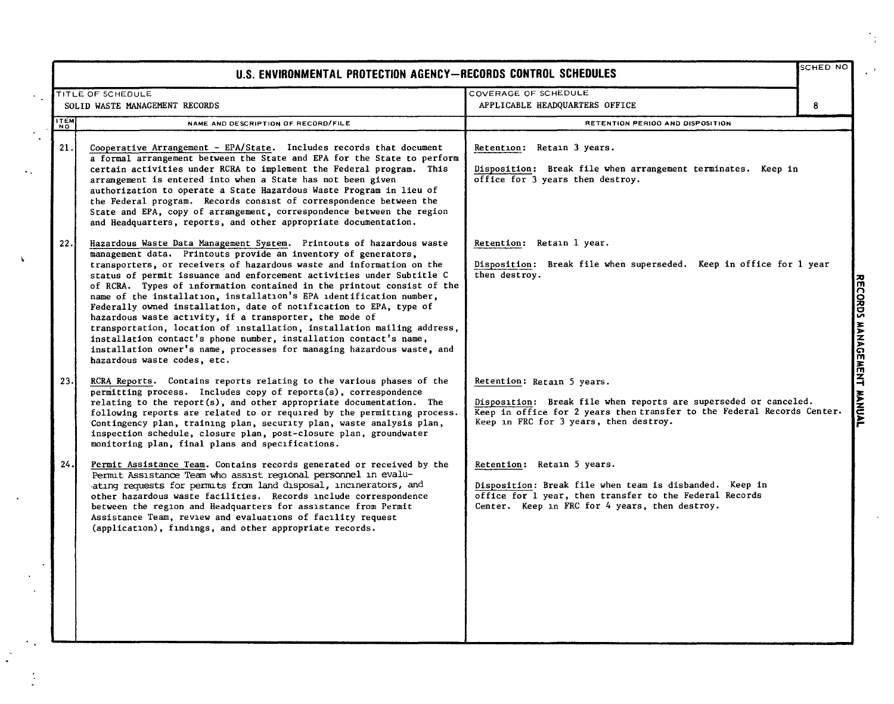| U.S. ENVIRONMENTAL PROTECTION AGENCY-RECORDS CONTROL SCHEDULES |                                                                                                                                                                                                                                                                                                                                                                                                                                                                                                                                                                                                                                                                                                                                                                                                                                    |                                                                                                                                                                                                                     | SCHED NO                  |
|----------------------------------------------------------------|------------------------------------------------------------------------------------------------------------------------------------------------------------------------------------------------------------------------------------------------------------------------------------------------------------------------------------------------------------------------------------------------------------------------------------------------------------------------------------------------------------------------------------------------------------------------------------------------------------------------------------------------------------------------------------------------------------------------------------------------------------------------------------------------------------------------------------|---------------------------------------------------------------------------------------------------------------------------------------------------------------------------------------------------------------------|---------------------------|
|                                                                | TITLE OF SCHEDULE<br>SOLID WASTE MANAGEMENT RECORDS                                                                                                                                                                                                                                                                                                                                                                                                                                                                                                                                                                                                                                                                                                                                                                                | COVERAGE OF SCHEDULE<br>APPLICABLE HEADQUARTERS OFFICE                                                                                                                                                              | 8                         |
| <b>ITEM</b>                                                    | NAME AND DESCRIPTION OF RECORD/FILE                                                                                                                                                                                                                                                                                                                                                                                                                                                                                                                                                                                                                                                                                                                                                                                                | RETENTION PERIOO AND DISPOSITION                                                                                                                                                                                    |                           |
| 21.                                                            | Cooperative Arrangement - EPA/State. Includes records that document<br>a formal arrangement between the State and EPA for the State to perform<br>certain activities under RCRA to implement the Federal program. This<br>arrangement is entered into when a State has not been given<br>authorization to operate a State Hazardous Waste Program in lieu of<br>the Federal program. Records consist of correspondence between the<br>State and EPA, copy of arrangement, correspondence between the region<br>and Headquarters, reports, and other appropriate documentation.                                                                                                                                                                                                                                                     | Retention: Retain 3 years.<br>Disposition: Break file when arrangement terminates. Keep in<br>office for 3 years then destroy.                                                                                      |                           |
| 22.                                                            | Hazardous Waste Data Management System. Printouts of hazardous waste<br>management data. Printouts provide an inventory of generators,<br>transporters, or receivers of hazardous waste and information on the<br>status of permit issuance and enforcement activities under Subtitle C<br>of RCRA. Types of information contained in the printout consist of the<br>name of the installation, installation's EPA identification number,<br>Federally owned installation, date of notification to EPA, type of<br>hazardous waste activity, if a transporter, the mode of<br>transportation, location of installation, installation mailing address,<br>installation contact's phone number, installation contact's name,<br>installation owner's name, processes for managing hazardous waste, and<br>hazardous waste codes, etc. | Retention: Retain 1 year.<br>Disposition: Break file when superseded. Keep in office for 1 year<br>then destroy.                                                                                                    | RECORDS MANAGEMENT MANUAL |
| 23.                                                            | RCRA Reports. Contains reports relating to the various phases of the<br>permitting process. Includes copy of reports(s), correspondence<br>relating to the report(s), and other appropriate documentation. The<br>following reports are related to or required by the permitting process.<br>Contingency plan, training plan, security plan, waste analysis plan,<br>inspection schedule, closure plan, post-closure plan, groundwater<br>monitoring plan, final plans and specifications.                                                                                                                                                                                                                                                                                                                                         | Retention: Retain 5 years.<br>Disposition: Break file when reports are superseded or canceled.<br>Keep in office for 2 years then transfer to the Federal Records Center.<br>Keep in FRC for 3 years, then destroy. |                           |
| 24.                                                            | Permit Assistance Team. Contains records generated or received by the<br>Permit Assistance Team who assist regional personnel in evalu-<br>ating requests for permits from land disposal, incinerators, and<br>other hazardous waste facilities. Records include correspondence<br>between the region and Headquarters for assistance from Permit<br>Assistance Team, review and evaluations of facility request<br>(application), findings, and other appropriate records.                                                                                                                                                                                                                                                                                                                                                        | Retention: Retain 5 years.<br>Disposition: Break file when team is disbanded. Keep in<br>office for 1 year, then transfer to the Federal Records<br>Center. Keep in FRC for 4 years, then destroy.                  |                           |

 $\mathcal{C}_{\mathcal{A}}$ 

 $\ddotsc$ 

 $\mathbf{v}$ 

 $\sim$ 

 $\frac{1}{2}$ 

١ŗ.

 $\mathcal{A}^{\mathrm{max}}$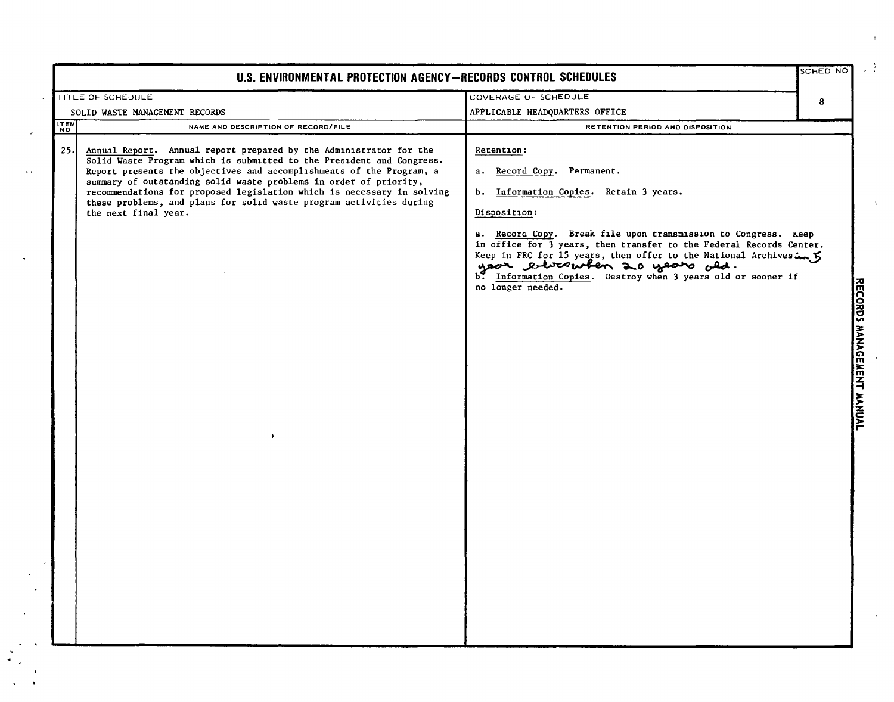| U.S. ENVIRONMENTAL PROTECTION AGENCY-RECORDS CONTROL SCHEDULES                                                                                                                                                                                                                                                                                                                                                                                                           |                                                                                                                                                                                                                                                                                                                                        |                           |  |
|--------------------------------------------------------------------------------------------------------------------------------------------------------------------------------------------------------------------------------------------------------------------------------------------------------------------------------------------------------------------------------------------------------------------------------------------------------------------------|----------------------------------------------------------------------------------------------------------------------------------------------------------------------------------------------------------------------------------------------------------------------------------------------------------------------------------------|---------------------------|--|
| TITLE OF SCHEDULE                                                                                                                                                                                                                                                                                                                                                                                                                                                        | COVERAGE OF SCHEDULE                                                                                                                                                                                                                                                                                                                   | 8                         |  |
| SOLID WASTE MANAGEMENT RECORDS                                                                                                                                                                                                                                                                                                                                                                                                                                           | APPLICABLE HEADQUARTERS OFFICE                                                                                                                                                                                                                                                                                                         |                           |  |
| <b>TEM</b><br>NAME AND DESCRIPTION OF RECORD/FILE                                                                                                                                                                                                                                                                                                                                                                                                                        | RETENTION PERIOD AND DISPOSITION                                                                                                                                                                                                                                                                                                       |                           |  |
| 25.<br>Annual Report. Annual report prepared by the Administrator for the<br>Solid Waste Program which is submitted to the President and Congress.<br>Report presents the objectives and accomplishments of the Program, a<br>summary of outstanding solid waste problems in order of priority,<br>recommendations for proposed legislation which is necessary in solving<br>these problems, and plans for solid waste program activities during<br>the next final year. | Retention:<br>a. Record Copy. Permanent.<br>b. Information Copies. Retain 3 years.<br>Disposition:<br>a. Record Copy. Break file upon transmission to Congress. Keep<br>in office for 3 years, then transfer to the Federal Records Center.<br>Reep in FRC for 15 years, then offer to the National Archives in 5<br>no longer needed. | RECORDS MANAGEMENT MANUAL |  |

 $\Gamma$ 

率

 $\chi$